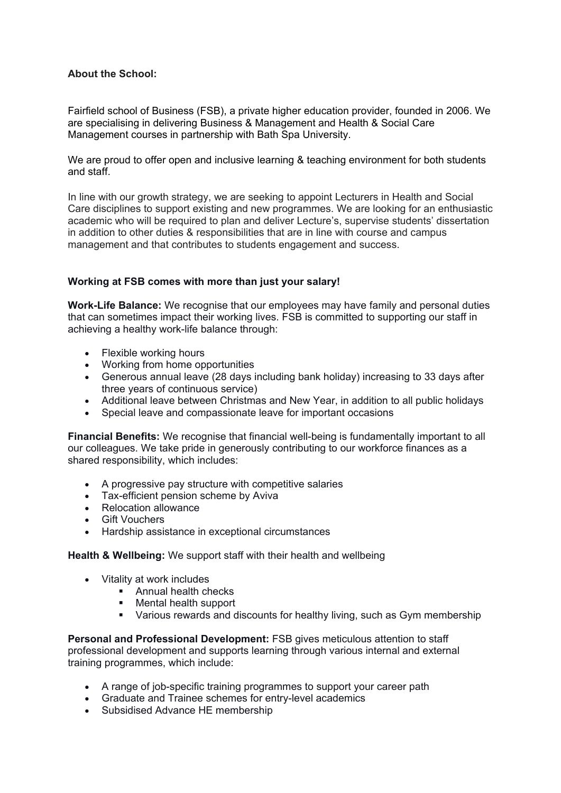## **About the School:**

Fairfield school of Business (FSB), a private higher education provider, founded in 2006. We are specialising in delivering Business & Management and Health & Social Care Management courses in partnership with Bath Spa University.

We are proud to offer open and inclusive learning & teaching environment for both students and staff.

In line with our growth strategy, we are seeking to appoint Lecturers in Health and Social Care disciplines to support existing and new programmes. We are looking for an enthusiastic academic who will be required to plan and deliver Lecture's, supervise students' dissertation in addition to other duties & responsibilities that are in line with course and campus management and that contributes to students engagement and success.

## **Working at FSB comes with more than just your salary!**

**Work-Life Balance:** We recognise that our employees may have family and personal duties that can sometimes impact their working lives. FSB is committed to supporting our staff in achieving a healthy work-life balance through:

- Flexible working hours
- Working from home opportunities
- Generous annual leave (28 days including bank holiday) increasing to 33 days after three years of continuous service)
- Additional leave between Christmas and New Year, in addition to all public holidays
- Special leave and compassionate leave for important occasions

**Financial Benefits:** We recognise that financial well-being is fundamentally important to all our colleagues. We take pride in generously contributing to our workforce finances as a shared responsibility, which includes:

- A progressive pay structure with competitive salaries
- Tax-efficient pension scheme by Aviva
- Relocation allowance
- Gift Vouchers
- Hardship assistance in exceptional circumstances

## **Health & Wellbeing:** We support staff with their health and wellbeing

- Vitality at work includes
	- **Annual health checks**
	- Mental health support
	- Various rewards and discounts for healthy living, such as Gym membership

**Personal and Professional Development:** FSB gives meticulous attention to staff professional development and supports learning through various internal and external training programmes, which include:

- A range of job-specific training programmes to support your career path
- Graduate and Trainee schemes for entry-level academics
- Subsidised Advance HE membership